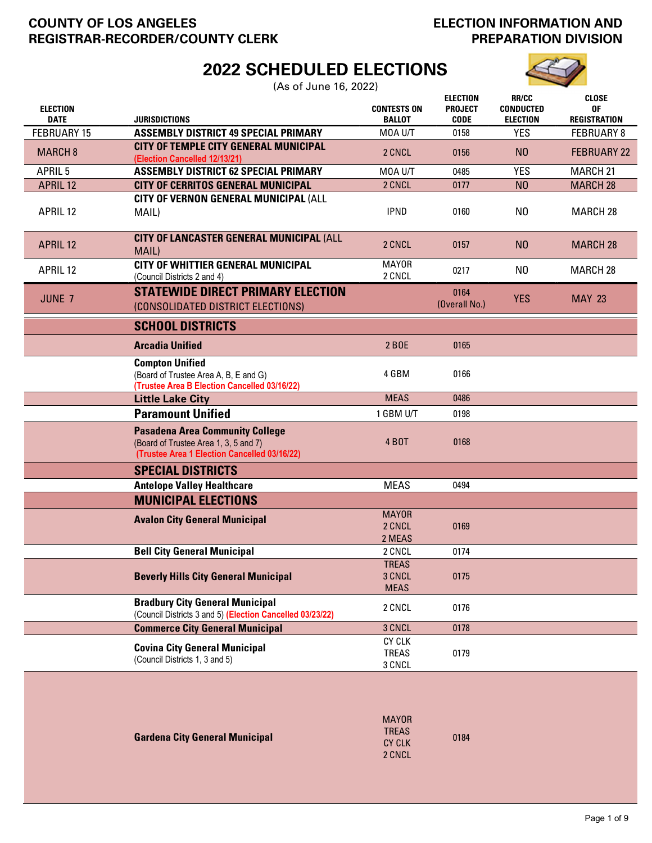# COUNTY OF LOS ANGELES REGISTRAR-RECORDER/COUNTY CLERK

# ELECTION INFORMATION AND PREPARATION DIVISION

# 2022 SCHEDULED ELECTIONS

(As of June 16, 2022)

| <b>ELECTION</b><br><b>DATE</b> | <b>JURISDICTIONS</b>                                                                                                            | <b>CONTESTS ON</b><br><b>BALLOT</b>     | <b>ELECTION</b><br><b>PROJECT</b><br><b>CODE</b> | <b>RR/CC</b><br><b>CONDUCTED</b><br><b>ELECTION</b> | <b>CLOSE</b><br>0F<br><b>REGISTRATION</b> |
|--------------------------------|---------------------------------------------------------------------------------------------------------------------------------|-----------------------------------------|--------------------------------------------------|-----------------------------------------------------|-------------------------------------------|
| <b>FEBRUARY 15</b>             | <b>ASSEMBLY DISTRICT 49 SPECIAL PRIMARY</b>                                                                                     | MOA U/T                                 | 0158                                             | <b>YES</b>                                          | <b>FEBRUARY 8</b>                         |
| <b>MARCH 8</b>                 | <b>CITY OF TEMPLE CITY GENERAL MUNICIPAL</b><br>(Election Cancelled 12/13/21)                                                   | 2 CNCL                                  | 0156                                             | N <sub>0</sub>                                      | <b>FEBRUARY 22</b>                        |
| APRIL <sub>5</sub>             | <b>ASSEMBLY DISTRICT 62 SPECIAL PRIMARY</b>                                                                                     | MOA U/T                                 | 0485                                             | <b>YES</b>                                          | MARCH <sub>21</sub>                       |
| <b>APRIL 12</b>                | <b>CITY OF CERRITOS GENERAL MUNICIPAL</b>                                                                                       | 2 CNCL                                  | 0177                                             | N <sub>0</sub>                                      | <b>MARCH 28</b>                           |
| APRIL 12                       | CITY OF VERNON GENERAL MUNICIPAL (ALL<br>MAIL)                                                                                  | <b>IPND</b>                             | 0160                                             | N <sub>0</sub>                                      | <b>MARCH 28</b>                           |
| <b>APRIL 12</b>                | CITY OF LANCASTER GENERAL MUNICIPAL (ALL<br>MAIL)                                                                               | 2 CNCL                                  | 0157                                             | N <sub>0</sub>                                      | <b>MARCH 28</b>                           |
| APRIL 12                       | <b>CITY OF WHITTIER GENERAL MUNICIPAL</b><br>(Council Districts 2 and 4)                                                        | <b>MAYOR</b><br>2 CNCL                  | 0217                                             | N <sub>0</sub>                                      | <b>MARCH 28</b>                           |
| JUNE 7                         | <b>STATEWIDE DIRECT PRIMARY ELECTION</b><br>(CONSOLIDATED DISTRICT ELECTIONS)                                                   |                                         | 0164<br>(Overall No.)                            | <b>YES</b>                                          | <b>MAY 23</b>                             |
|                                | <b>SCHOOL DISTRICTS</b>                                                                                                         |                                         |                                                  |                                                     |                                           |
|                                | <b>Arcadia Unified</b>                                                                                                          | 2 BOE                                   | 0165                                             |                                                     |                                           |
|                                | <b>Compton Unified</b><br>(Board of Trustee Area A, B, E and G)<br>(Trustee Area B Election Cancelled 03/16/22)                 | 4 GBM                                   | 0166                                             |                                                     |                                           |
|                                | <b>Little Lake City</b>                                                                                                         | <b>MEAS</b>                             | 0486                                             |                                                     |                                           |
|                                | <b>Paramount Unified</b>                                                                                                        | 1 GBM U/T                               | 0198                                             |                                                     |                                           |
|                                | <b>Pasadena Area Community College</b><br>(Board of Trustee Area 1, 3, 5 and 7)<br>(Trustee Area 1 Election Cancelled 03/16/22) | <b>4 BOT</b>                            | 0168                                             |                                                     |                                           |
|                                | <b>SPECIAL DISTRICTS</b>                                                                                                        |                                         |                                                  |                                                     |                                           |
|                                | <b>Antelope Valley Healthcare</b>                                                                                               | <b>MEAS</b>                             | 0494                                             |                                                     |                                           |
|                                | <b>MUNICIPAL ELECTIONS</b>                                                                                                      |                                         |                                                  |                                                     |                                           |
|                                | <b>Avalon City General Municipal</b>                                                                                            | <b>MAYOR</b><br>2 CNCL<br>2 MEAS        | 0169                                             |                                                     |                                           |
|                                | <b>Bell City General Municipal</b>                                                                                              | 2 CNCL                                  | 0174                                             |                                                     |                                           |
|                                | <b>Beverly Hills City General Municipal</b>                                                                                     | <b>TREAS</b><br>3 CNCL<br><b>MEAS</b>   | 0175                                             |                                                     |                                           |
|                                | <b>Bradbury City General Municipal</b><br>(Council Districts 3 and 5) (Election Cancelled 03/23/22)                             | 2 CNCL                                  | 0176                                             |                                                     |                                           |
|                                | <b>Commerce City General Municipal</b>                                                                                          | 3 CNCL                                  | 0178                                             |                                                     |                                           |
|                                | <b>Covina City General Municipal</b><br>(Council Districts 1, 3 and 5)                                                          | <b>CY CLK</b><br><b>TREAS</b><br>3 CNCL | 0179                                             |                                                     |                                           |
|                                |                                                                                                                                 |                                         |                                                  |                                                     |                                           |

|                                       | <b>MAYOR</b>  |      |
|---------------------------------------|---------------|------|
|                                       | <b>TREAS</b>  |      |
| <b>Gardena City General Municipal</b> | <b>CY CLK</b> | 0184 |
|                                       | 2 CNCL        |      |
|                                       |               |      |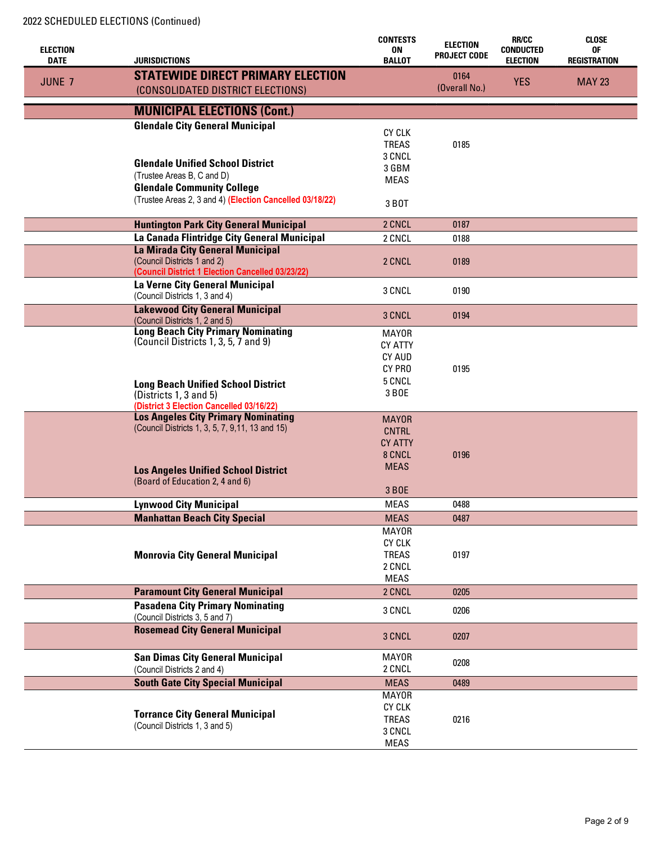| <b>ELECTION</b> |                                                                                        | <b>CONTESTS</b><br><b>ON</b>  | <b>ELECTION</b>     | <b>RR/CC</b><br><b>CONDUCTED</b> | <b>CLOSE</b><br>0F  |
|-----------------|----------------------------------------------------------------------------------------|-------------------------------|---------------------|----------------------------------|---------------------|
| <b>DATE</b>     | <b>JURISDICTIONS</b>                                                                   | <b>BALLOT</b>                 | <b>PROJECT CODE</b> | <b>ELECTION</b>                  | <b>REGISTRATION</b> |
|                 | <b>STATEWIDE DIRECT PRIMARY ELECTION</b>                                               |                               | 0164                |                                  |                     |
| JUNE 7          | (CONSOLIDATED DISTRICT ELECTIONS)                                                      |                               | (Overall No.)       | <b>YES</b>                       | <b>MAY 23</b>       |
|                 | <b>MUNICIPAL ELECTIONS (Cont.)</b>                                                     |                               |                     |                                  |                     |
|                 | <b>Glendale City General Municipal</b>                                                 |                               |                     |                                  |                     |
|                 |                                                                                        | <b>CY CLK</b>                 |                     |                                  |                     |
|                 |                                                                                        | <b>TREAS</b>                  | 0185                |                                  |                     |
|                 | <b>Glendale Unified School District</b>                                                | 3 CNCL                        |                     |                                  |                     |
|                 | (Trustee Areas B, C and D)                                                             | 3 GBM                         |                     |                                  |                     |
|                 | <b>Glendale Community College</b>                                                      | <b>MEAS</b>                   |                     |                                  |                     |
|                 | (Trustee Areas 2, 3 and 4) (Election Cancelled 03/18/22)                               |                               |                     |                                  |                     |
|                 |                                                                                        | 3 BOT                         |                     |                                  |                     |
|                 | <b>Huntington Park City General Municipal</b>                                          | 2 CNCL                        | 0187                |                                  |                     |
|                 | La Canada Flintridge City General Municipal                                            | 2 CNCL                        | 0188                |                                  |                     |
|                 | La Mirada City General Municipal                                                       |                               |                     |                                  |                     |
|                 | (Council Districts 1 and 2)                                                            | 2 CNCL                        | 0189                |                                  |                     |
|                 | (Council District 1 Election Cancelled 03/23/22)                                       |                               |                     |                                  |                     |
|                 | La Verne City General Municipal                                                        | 3 CNCL                        | 0190                |                                  |                     |
|                 | (Council Districts 1, 3 and 4)                                                         |                               |                     |                                  |                     |
|                 | <b>Lakewood City General Municipal</b>                                                 | 3 CNCL                        | 0194                |                                  |                     |
|                 | (Council Districts 1, 2 and 5)<br><b>Long Beach City Primary Nominating</b>            |                               |                     |                                  |                     |
|                 | (Council Districts 1, 3, 5, 7 and 9)                                                   | <b>MAYOR</b>                  |                     |                                  |                     |
|                 |                                                                                        | <b>CY ATTY</b>                |                     |                                  |                     |
|                 |                                                                                        | <b>CY AUD</b><br>CY PRO       | 0195                |                                  |                     |
|                 |                                                                                        |                               |                     |                                  |                     |
|                 | <b>Long Beach Unified School District</b>                                              | 5 CNCL<br>3 BOE               |                     |                                  |                     |
|                 | (Districts 1, 3 and 5)                                                                 |                               |                     |                                  |                     |
|                 | (District 3 Election Cancelled 03/16/22)<br><b>Los Angeles City Primary Nominating</b> |                               |                     |                                  |                     |
|                 | (Council Districts 1, 3, 5, 7, 9, 11, 13 and 15)                                       | <b>MAYOR</b>                  |                     |                                  |                     |
|                 |                                                                                        | <b>CNTRL</b>                  |                     |                                  |                     |
|                 |                                                                                        | <b>CY ATTY</b><br>8 CNCL      | 0196                |                                  |                     |
|                 |                                                                                        | <b>MEAS</b>                   |                     |                                  |                     |
|                 | <b>Los Angeles Unified School District</b>                                             |                               |                     |                                  |                     |
|                 | (Board of Education 2, 4 and 6)                                                        | 3 BOE                         |                     |                                  |                     |
|                 | <b>Lynwood City Municipal</b>                                                          | <b>MEAS</b>                   | 0488                |                                  |                     |
|                 |                                                                                        | <b>MEAS</b>                   | 0487                |                                  |                     |
|                 | <b>Manhattan Beach City Special</b>                                                    |                               |                     |                                  |                     |
|                 |                                                                                        | <b>MAYOR</b><br><b>CY CLK</b> |                     |                                  |                     |
|                 | <b>Monrovia City General Municipal</b>                                                 | <b>TREAS</b>                  | 0197                |                                  |                     |
|                 |                                                                                        | 2 CNCL                        |                     |                                  |                     |
|                 |                                                                                        | <b>MEAS</b>                   |                     |                                  |                     |
|                 | <b>Paramount City General Municipal</b>                                                | 2 CNCL                        | 0205                |                                  |                     |
|                 | <b>Pasadena City Primary Nominating</b>                                                |                               |                     |                                  |                     |
|                 | (Council Districts 3, 5 and 7)                                                         | 3 CNCL                        | 0206                |                                  |                     |
|                 | <b>Rosemead City General Municipal</b>                                                 | 3 CNCL                        | 0207                |                                  |                     |
|                 |                                                                                        |                               |                     |                                  |                     |
|                 | <b>San Dimas City General Municipal</b>                                                | <b>MAYOR</b>                  | 0208                |                                  |                     |
|                 | (Council Districts 2 and 4)                                                            | 2 CNCL                        |                     |                                  |                     |
|                 | <b>South Gate City Special Municipal</b>                                               | <b>MEAS</b>                   | 0489                |                                  |                     |
|                 |                                                                                        | <b>MAYOR</b>                  |                     |                                  |                     |
|                 | <b>Torrance City General Municipal</b>                                                 | <b>CY CLK</b>                 |                     |                                  |                     |
|                 | (Council Districts 1, 3 and 5)                                                         | <b>TREAS</b>                  | 0216                |                                  |                     |
|                 |                                                                                        | 3 CNCL                        |                     |                                  |                     |
|                 |                                                                                        | <b>MEAS</b>                   |                     |                                  |                     |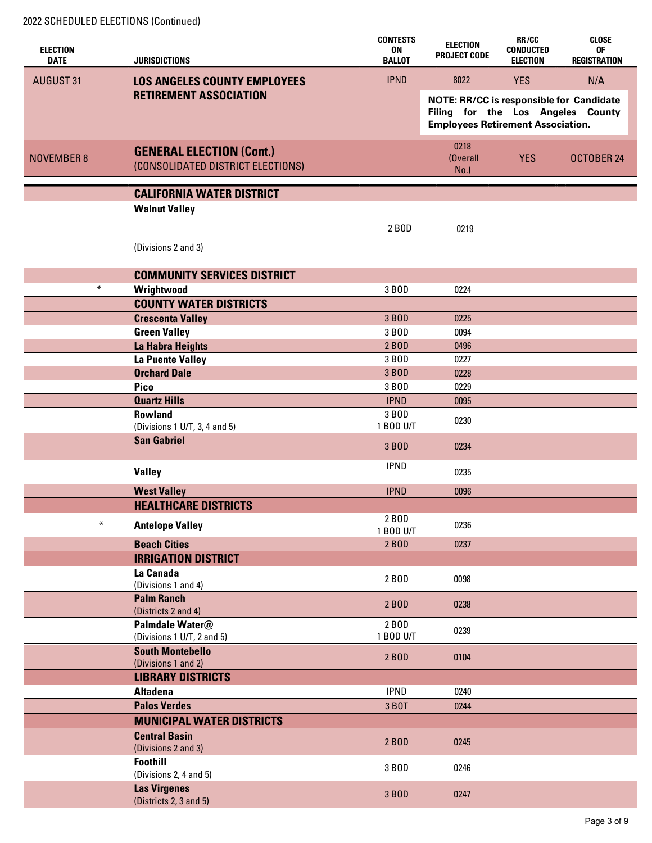| <b>ELECTION</b><br><b>DATE</b> | JURISDICTIONS                                                        | <b>CONTESTS</b><br>0N<br><b>BALLOT</b> | <b>ELECTION</b><br><b>PROJECT CODE</b>                                                                                           | RR/CC<br><b>CONDUCTED</b><br><b>ELECTION</b> | <b>CLOSE</b><br>0F<br><b>REGISTRATION</b> |
|--------------------------------|----------------------------------------------------------------------|----------------------------------------|----------------------------------------------------------------------------------------------------------------------------------|----------------------------------------------|-------------------------------------------|
| <b>AUGUST 31</b>               | <b>LOS ANGELES COUNTY EMPLOYEES</b>                                  | <b>IPND</b>                            | 8022                                                                                                                             | <b>YES</b>                                   | N/A                                       |
|                                | <b>RETIREMENT ASSOCIATION</b>                                        |                                        | <b>NOTE: RR/CC is responsible for Candidate</b><br>Filing for the Los Angeles County<br><b>Employees Retirement Association.</b> |                                              |                                           |
| <b>NOVEMBER 8</b>              | <b>GENERAL ELECTION (Cont.)</b><br>(CONSOLIDATED DISTRICT ELECTIONS) |                                        | 0218<br>(Overall<br>$No.$ )                                                                                                      | <b>YES</b>                                   | OCTOBER 24                                |
|                                | <b>CALIFORNIA WATER DISTRICT</b>                                     |                                        |                                                                                                                                  |                                              |                                           |
|                                | <b>Walnut Valley</b>                                                 |                                        |                                                                                                                                  |                                              |                                           |
|                                |                                                                      | 2 BOD                                  | 0219                                                                                                                             |                                              |                                           |
|                                |                                                                      |                                        |                                                                                                                                  |                                              |                                           |
|                                | (Divisions 2 and 3)                                                  |                                        |                                                                                                                                  |                                              |                                           |
|                                | <b>COMMUNITY SERVICES DISTRICT</b>                                   |                                        |                                                                                                                                  |                                              |                                           |
| $\ast$                         | Wrightwood                                                           | 3 BOD                                  | 0224                                                                                                                             |                                              |                                           |
|                                | <b>COUNTY WATER DISTRICTS</b>                                        |                                        |                                                                                                                                  |                                              |                                           |
|                                | <b>Crescenta Valley</b>                                              | 3 BOD                                  | 0225                                                                                                                             |                                              |                                           |
|                                | <b>Green Valley</b>                                                  | 3 BOD                                  | 0094                                                                                                                             |                                              |                                           |
|                                | La Habra Heights                                                     | 2 BOD                                  | 0496                                                                                                                             |                                              |                                           |
|                                | <b>La Puente Valley</b><br><b>Orchard Dale</b>                       | 3 BOD<br>3 BOD                         | 0227                                                                                                                             |                                              |                                           |
|                                | <b>Pico</b>                                                          | 3 BOD                                  | 0228<br>0229                                                                                                                     |                                              |                                           |
|                                | <b>Quartz Hills</b>                                                  | <b>IPND</b>                            | 0095                                                                                                                             |                                              |                                           |
|                                | <b>Rowland</b>                                                       | 3 BOD                                  |                                                                                                                                  |                                              |                                           |
|                                | (Divisions 1 U/T, 3, 4 and 5)                                        | 1 BOD U/T                              | 0230                                                                                                                             |                                              |                                           |
|                                | <b>San Gabriel</b>                                                   | 3 BOD                                  | 0234                                                                                                                             |                                              |                                           |
|                                | <b>Valley</b>                                                        | <b>IPND</b>                            | 0235                                                                                                                             |                                              |                                           |
|                                | <b>West Valley</b>                                                   | <b>IPND</b>                            | 0096                                                                                                                             |                                              |                                           |
|                                | <b>HEALTHCARE DISTRICTS</b>                                          |                                        |                                                                                                                                  |                                              |                                           |
| $\ast$                         | <b>Antelope Valley</b>                                               | 2 BOD                                  | 0236                                                                                                                             |                                              |                                           |
|                                | <b>Beach Cities</b>                                                  | 1 BOD U/T<br>2 BOD                     | 0237                                                                                                                             |                                              |                                           |
|                                | <b>IRRIGATION DISTRICT</b>                                           |                                        |                                                                                                                                  |                                              |                                           |
|                                | La Canada                                                            | 2 BOD                                  | 0098                                                                                                                             |                                              |                                           |
|                                | (Divisions 1 and 4)                                                  |                                        |                                                                                                                                  |                                              |                                           |
|                                | <b>Palm Ranch</b><br>(Districts 2 and 4)                             | 2 BOD                                  | 0238                                                                                                                             |                                              |                                           |
|                                | Palmdale Water@                                                      | 2 BOD                                  | 0239                                                                                                                             |                                              |                                           |
|                                | (Divisions 1 U/T, 2 and 5)                                           | 1 B0D U/T                              |                                                                                                                                  |                                              |                                           |
|                                | <b>South Montebello</b>                                              | 2 BOD                                  | 0104                                                                                                                             |                                              |                                           |
|                                | (Divisions 1 and 2)<br><b>LIBRARY DISTRICTS</b>                      |                                        |                                                                                                                                  |                                              |                                           |
|                                | <b>Altadena</b>                                                      | <b>IPND</b>                            | 0240                                                                                                                             |                                              |                                           |
|                                | <b>Palos Verdes</b>                                                  | 3 BOT                                  | 0244                                                                                                                             |                                              |                                           |
|                                | <b>MUNICIPAL WATER DISTRICTS</b>                                     |                                        |                                                                                                                                  |                                              |                                           |
|                                | <b>Central Basin</b>                                                 |                                        |                                                                                                                                  |                                              |                                           |
|                                | (Divisions 2 and 3)                                                  | 2 BOD                                  | 0245                                                                                                                             |                                              |                                           |
|                                | <b>Foothill</b><br>(Divisions 2, 4 and 5)                            | 3 BOD                                  | 0246                                                                                                                             |                                              |                                           |
|                                | <b>Las Virgenes</b><br>(Districts 2, 3 and 5)                        | 3 BOD                                  | 0247                                                                                                                             |                                              |                                           |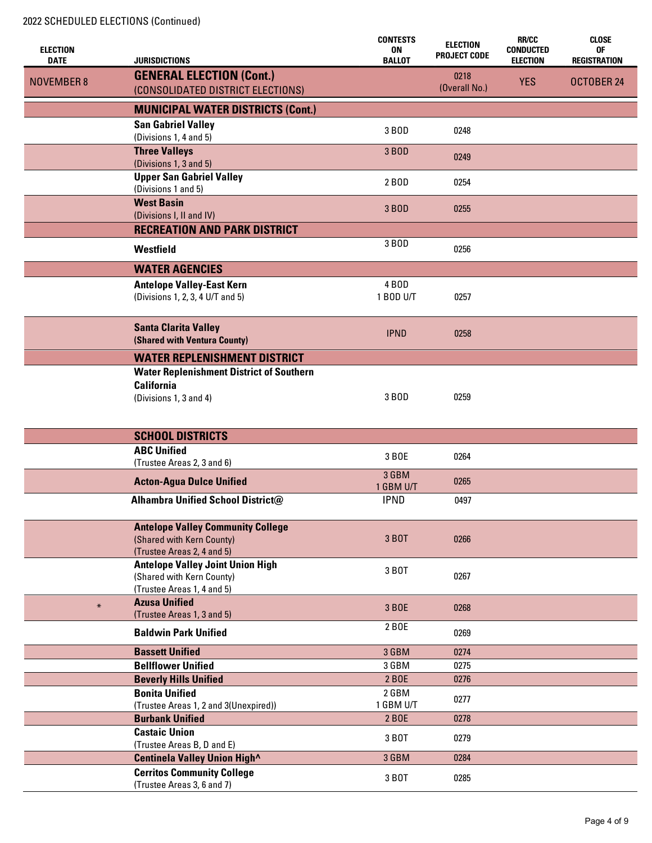| <b>ELECTION</b>   |                                                                      | <b>CONTESTS</b><br><b>ON</b> | <b>ELECTION</b>     | <b>RR/CC</b><br><b>CONDUCTED</b> | <b>CLOSE</b><br>0F  |
|-------------------|----------------------------------------------------------------------|------------------------------|---------------------|----------------------------------|---------------------|
| <b>DATE</b>       | <b>JURISDICTIONS</b>                                                 | <b>BALLOT</b>                | <b>PROJECT CODE</b> | <b>ELECTION</b>                  | <b>REGISTRATION</b> |
| <b>NOVEMBER 8</b> | <b>GENERAL ELECTION (Cont.)</b>                                      |                              | 0218                | <b>YES</b>                       | OCTOBER 24          |
|                   | (CONSOLIDATED DISTRICT ELECTIONS)                                    |                              | (Overall No.)       |                                  |                     |
|                   | <b>MUNICIPAL WATER DISTRICTS (Cont.)</b>                             |                              |                     |                                  |                     |
|                   | <b>San Gabriel Valley</b><br>(Divisions 1, 4 and 5)                  | 3 BOD                        | 0248                |                                  |                     |
|                   | <b>Three Valleys</b><br>(Divisions 1, 3 and 5)                       | 3 BOD                        | 0249                |                                  |                     |
|                   | <b>Upper San Gabriel Valley</b><br>(Divisions 1 and 5)               | 2 BOD                        | 0254                |                                  |                     |
|                   | <b>West Basin</b>                                                    | 3 BOD                        | 0255                |                                  |                     |
|                   | (Divisions I, II and IV)<br><b>RECREATION AND PARK DISTRICT</b>      |                              |                     |                                  |                     |
|                   |                                                                      | 3 BOD                        |                     |                                  |                     |
|                   | Westfield                                                            |                              | 0256                |                                  |                     |
|                   | <b>WATER AGENCIES</b>                                                |                              |                     |                                  |                     |
|                   | <b>Antelope Valley-East Kern</b>                                     | 4 BOD                        |                     |                                  |                     |
|                   | (Divisions 1, 2, 3, 4 U/T and 5)                                     | 1 BOD U/T                    | 0257                |                                  |                     |
|                   | <b>Santa Clarita Valley</b><br>(Shared with Ventura County)          | <b>IPND</b>                  | 0258                |                                  |                     |
|                   | <b>WATER REPLENISHMENT DISTRICT</b>                                  |                              |                     |                                  |                     |
|                   | <b>Water Replenishment District of Southern</b>                      |                              |                     |                                  |                     |
|                   | <b>California</b>                                                    |                              |                     |                                  |                     |
|                   | (Divisions 1, 3 and 4)                                               | 3 BOD                        | 0259                |                                  |                     |
|                   |                                                                      |                              |                     |                                  |                     |
|                   | <b>SCHOOL DISTRICTS</b>                                              |                              |                     |                                  |                     |
|                   | <b>ABC Unified</b><br>(Trustee Areas 2, 3 and 6)                     | 3 BOE                        | 0264                |                                  |                     |
|                   | <b>Acton-Agua Dulce Unified</b>                                      | 3 GBM                        | 0265                |                                  |                     |
|                   |                                                                      | 1 GBM U/T                    |                     |                                  |                     |
|                   | <b>Alhambra Unified School District@</b>                             | <b>IPND</b>                  | 0497                |                                  |                     |
|                   | <b>Antelope Valley Community College</b>                             |                              |                     |                                  |                     |
|                   | (Shared with Kern County)                                            | 3 BOT                        | 0266                |                                  |                     |
|                   | (Trustee Areas 2, 4 and 5)                                           |                              |                     |                                  |                     |
|                   | <b>Antelope Valley Joint Union High</b><br>(Shared with Kern County) | 3 BOT                        | 0267                |                                  |                     |
|                   | (Trustee Areas 1, 4 and 5)                                           |                              |                     |                                  |                     |
| $\ast$            | <b>Azusa Unified</b>                                                 | 3 BOE                        | 0268                |                                  |                     |
|                   | (Trustee Areas 1, 3 and 5)                                           |                              |                     |                                  |                     |
|                   | <b>Baldwin Park Unified</b>                                          | 2 BOE                        | 0269                |                                  |                     |
|                   | <b>Bassett Unified</b>                                               | 3 GBM                        | 0274                |                                  |                     |
|                   | <b>Bellflower Unified</b>                                            | 3 GBM                        | 0275                |                                  |                     |
|                   | <b>Beverly Hills Unified</b>                                         | 2 BOE                        | 0276                |                                  |                     |
|                   | <b>Bonita Unified</b><br>(Trustee Areas 1, 2 and 3(Unexpired))       | 2 GBM<br>1 GBM U/T           | 0277                |                                  |                     |
|                   | <b>Burbank Unified</b>                                               | 2 BOE                        | 0278                |                                  |                     |
|                   | <b>Castaic Union</b>                                                 | 3 BOT                        | 0279                |                                  |                     |
|                   | (Trustee Areas B, D and E)                                           |                              |                     |                                  |                     |
|                   | Centinela Valley Union High^                                         | 3 GBM                        | 0284                |                                  |                     |
|                   | <b>Cerritos Community College</b><br>(Trustee Areas 3, 6 and 7)      | 3 BOT                        | 0285                |                                  |                     |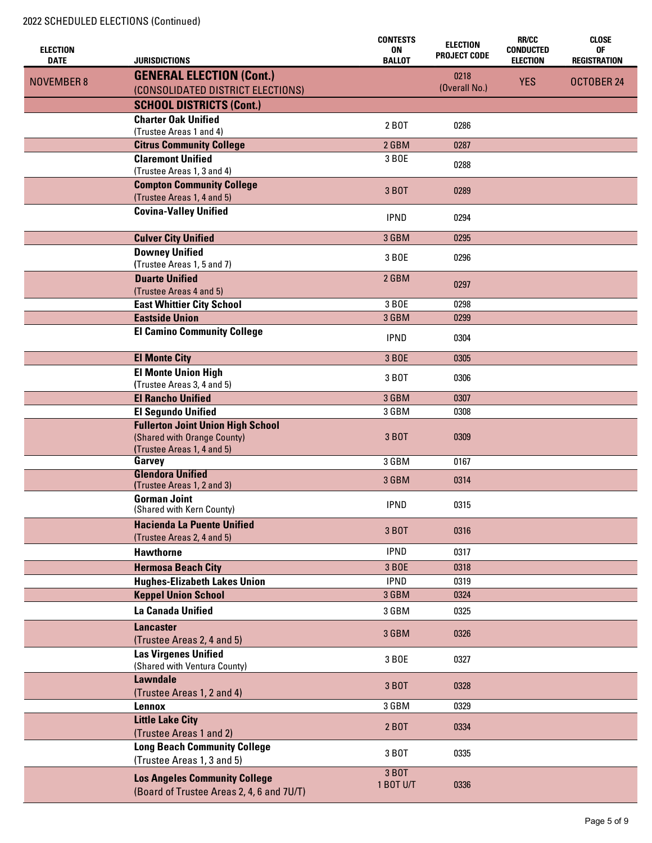|                                |                                                                   | <b>CONTESTS</b>     | <b>ELECTION</b>     | <b>RR/CC</b>                        | <b>CLOSE</b>              |
|--------------------------------|-------------------------------------------------------------------|---------------------|---------------------|-------------------------------------|---------------------------|
| <b>ELECTION</b><br><b>DATE</b> | JURISDICTIONS                                                     | 0N<br><b>BALLOT</b> | <b>PROJECT CODE</b> | <b>CONDUCTED</b><br><b>ELECTION</b> | 0F<br><b>REGISTRATION</b> |
|                                | <b>GENERAL ELECTION (Cont.)</b>                                   |                     | 0218                |                                     |                           |
| <b>NOVEMBER 8</b>              | (CONSOLIDATED DISTRICT ELECTIONS)                                 |                     | (Overall No.)       | <b>YES</b>                          | OCTOBER 24                |
|                                | <b>SCHOOL DISTRICTS (Cont.)</b>                                   |                     |                     |                                     |                           |
|                                | <b>Charter Oak Unified</b>                                        |                     |                     |                                     |                           |
|                                | (Trustee Areas 1 and 4)                                           | 2 BOT               | 0286                |                                     |                           |
|                                | <b>Citrus Community College</b>                                   | 2 GBM               | 0287                |                                     |                           |
|                                | <b>Claremont Unified</b>                                          | 3 BOE               |                     |                                     |                           |
|                                | (Trustee Areas 1, 3 and 4)                                        |                     | 0288                |                                     |                           |
|                                | <b>Compton Community College</b>                                  | 3 BOT               | 0289                |                                     |                           |
|                                | (Trustee Areas 1, 4 and 5)                                        |                     |                     |                                     |                           |
|                                | <b>Covina-Valley Unified</b>                                      | <b>IPND</b>         | 0294                |                                     |                           |
|                                | <b>Culver City Unified</b>                                        | 3 GBM               | 0295                |                                     |                           |
|                                |                                                                   |                     |                     |                                     |                           |
|                                | <b>Downey Unified</b><br>(Trustee Areas 1, 5 and 7)               | 3 BOE               | 0296                |                                     |                           |
|                                | <b>Duarte Unified</b>                                             | 2 GBM               |                     |                                     |                           |
|                                | (Trustee Areas 4 and 5)                                           |                     | 0297                |                                     |                           |
|                                | <b>East Whittier City School</b>                                  | 3 BOE               | 0298                |                                     |                           |
|                                | <b>Eastside Union</b>                                             | 3 GBM               | 0299                |                                     |                           |
|                                | <b>El Camino Community College</b>                                | <b>IPND</b>         | 0304                |                                     |                           |
|                                |                                                                   |                     |                     |                                     |                           |
|                                | <b>El Monte City</b>                                              | 3 BOE               | 0305                |                                     |                           |
|                                | <b>El Monte Union High</b>                                        | 3 BOT               | 0306                |                                     |                           |
|                                | (Trustee Areas 3, 4 and 5)                                        |                     |                     |                                     |                           |
|                                | <b>El Rancho Unified</b><br><b>El Segundo Unified</b>             | 3 GBM<br>3 GBM      | 0307<br>0308        |                                     |                           |
|                                | <b>Fullerton Joint Union High School</b>                          |                     |                     |                                     |                           |
|                                | (Shared with Orange County)                                       | 3 BOT               | 0309                |                                     |                           |
|                                | (Trustee Areas 1, 4 and 5)                                        |                     |                     |                                     |                           |
|                                | Garvey                                                            | 3 GBM               | 0167                |                                     |                           |
|                                | <b>Glendora Unified</b>                                           | 3 GBM               | 0314                |                                     |                           |
|                                | (Trustee Areas 1, 2 and 3)<br><b>Gorman Joint</b>                 |                     |                     |                                     |                           |
|                                | (Shared with Kern County)                                         | <b>IPND</b>         | 0315                |                                     |                           |
|                                | <b>Hacienda La Puente Unified</b>                                 |                     |                     |                                     |                           |
|                                | (Trustee Areas 2, 4 and 5)                                        | 3 BOT               | 0316                |                                     |                           |
|                                | <b>Hawthorne</b>                                                  | <b>IPND</b>         | 0317                |                                     |                           |
|                                | <b>Hermosa Beach City</b>                                         | 3 BOE               | 0318                |                                     |                           |
|                                | <b>Hughes-Elizabeth Lakes Union</b>                               | <b>IPND</b>         | 0319                |                                     |                           |
|                                | <b>Keppel Union School</b>                                        | 3 GBM               | 0324                |                                     |                           |
|                                | La Canada Unified                                                 | 3 GBM               | 0325                |                                     |                           |
|                                | <b>Lancaster</b>                                                  |                     |                     |                                     |                           |
|                                | (Trustee Areas 2, 4 and 5)                                        | 3 GBM               | 0326                |                                     |                           |
|                                | <b>Las Virgenes Unified</b>                                       | 3 BOE               | 0327                |                                     |                           |
|                                | (Shared with Ventura County)                                      |                     |                     |                                     |                           |
|                                | <b>Lawndale</b>                                                   | 3 BOT               | 0328                |                                     |                           |
|                                | (Trustee Areas 1, 2 and 4)                                        |                     |                     |                                     |                           |
|                                | Lennox                                                            | 3 GBM               | 0329                |                                     |                           |
|                                | <b>Little Lake City</b>                                           | 2 BOT               | 0334                |                                     |                           |
|                                | (Trustee Areas 1 and 2)                                           |                     |                     |                                     |                           |
|                                | <b>Long Beach Community College</b><br>(Trustee Areas 1, 3 and 5) | 3 BOT               | 0335                |                                     |                           |
|                                |                                                                   | 3 BOT               |                     |                                     |                           |
|                                | <b>Los Angeles Community College</b>                              | 1 BOT U/T           | 0336                |                                     |                           |
|                                | (Board of Trustee Areas 2, 4, 6 and 7U/T)                         |                     |                     |                                     |                           |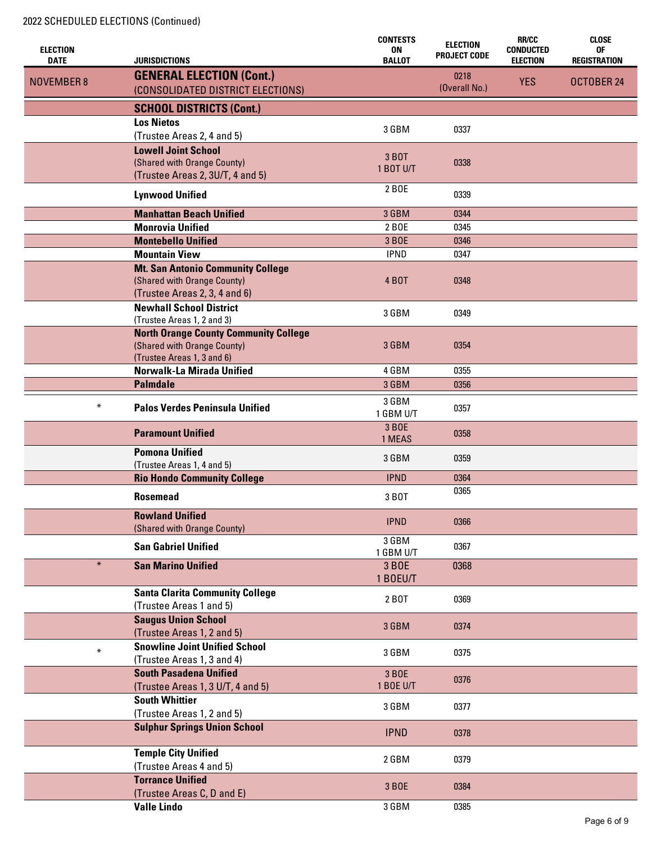| <b>ELECTION</b>   |                                                                      | <b>CONTESTS</b><br><b>ON</b> | <b>ELECTION</b><br><b>PROJECT CODE</b> | <b>RR/CC</b><br><b>CONDUCTED</b> | <b>CLOSE</b><br>0F  |
|-------------------|----------------------------------------------------------------------|------------------------------|----------------------------------------|----------------------------------|---------------------|
| <b>DATE</b>       | <b>JURISDICTIONS</b>                                                 | <b>BALLOT</b>                |                                        | <b>ELECTION</b>                  | <b>REGISTRATION</b> |
| <b>NOVEMBER 8</b> | <b>GENERAL ELECTION (Cont.)</b><br>(CONSOLIDATED DISTRICT ELECTIONS) |                              | 0218<br>(Overall No.)                  | <b>YES</b>                       | OCTOBER 24          |
|                   | <b>SCHOOL DISTRICTS (Cont.)</b>                                      |                              |                                        |                                  |                     |
|                   | <b>Los Nietos</b>                                                    |                              |                                        |                                  |                     |
|                   | (Trustee Areas 2, 4 and 5)                                           | 3 GBM                        | 0337                                   |                                  |                     |
|                   | <b>Lowell Joint School</b>                                           |                              |                                        |                                  |                     |
|                   | (Shared with Orange County)                                          | 3 BOT                        | 0338                                   |                                  |                     |
|                   | (Trustee Areas 2, 3U/T, 4 and 5)                                     | 1 BOT U/T                    |                                        |                                  |                     |
|                   | <b>Lynwood Unified</b>                                               | 2 BOE                        | 0339                                   |                                  |                     |
|                   | <b>Manhattan Beach Unified</b>                                       | 3 GBM                        | 0344                                   |                                  |                     |
|                   | <b>Monrovia Unified</b>                                              | 2 BOE                        | 0345                                   |                                  |                     |
|                   | <b>Montebello Unified</b>                                            | 3 BOE                        | 0346                                   |                                  |                     |
|                   | <b>Mountain View</b>                                                 | <b>IPND</b>                  | 0347                                   |                                  |                     |
|                   | <b>Mt. San Antonio Community College</b>                             |                              |                                        |                                  |                     |
|                   | (Shared with Orange County)                                          | <b>4 BOT</b>                 | 0348                                   |                                  |                     |
|                   | (Trustee Areas 2, 3, 4 and 6)                                        |                              |                                        |                                  |                     |
|                   | <b>Newhall School District</b>                                       | 3 GBM                        | 0349                                   |                                  |                     |
|                   | (Trustee Areas 1, 2 and 3)                                           |                              |                                        |                                  |                     |
|                   | <b>North Orange County Community College</b>                         | 3 GBM                        | 0354                                   |                                  |                     |
|                   | (Shared with Orange County)<br>(Trustee Areas 1, 3 and 6)            |                              |                                        |                                  |                     |
|                   | Norwalk-La Mirada Unified                                            | 4 GBM                        | 0355                                   |                                  |                     |
|                   | <b>Palmdale</b>                                                      | 3 GBM                        | 0356                                   |                                  |                     |
|                   |                                                                      | 3 GBM                        |                                        |                                  |                     |
| $\ast$            | <b>Palos Verdes Peninsula Unified</b>                                | 1 GBM U/T                    | 0357                                   |                                  |                     |
|                   |                                                                      | 3 BOE                        |                                        |                                  |                     |
|                   | <b>Paramount Unified</b>                                             | 1 MEAS                       | 0358                                   |                                  |                     |
|                   | <b>Pomona Unified</b>                                                | 3 GBM                        | 0359                                   |                                  |                     |
|                   | (Trustee Areas 1, 4 and 5)                                           |                              |                                        |                                  |                     |
|                   | <b>Rio Hondo Community College</b>                                   | <b>IPND</b>                  | 0364                                   |                                  |                     |
|                   | <b>Rosemead</b>                                                      | 3 BOT                        | 0365                                   |                                  |                     |
|                   | <b>Rowland Unified</b>                                               | <b>IPND</b>                  | 0366                                   |                                  |                     |
|                   | (Shared with Orange County)                                          |                              |                                        |                                  |                     |
|                   | <b>San Gabriel Unified</b>                                           | 3 GBM<br>1 GBM U/T           | 0367                                   |                                  |                     |
| $\ast$            | <b>San Marino Unified</b>                                            | 3 BOE                        | 0368                                   |                                  |                     |
|                   |                                                                      | 1 BOEU/T                     |                                        |                                  |                     |
|                   | <b>Santa Clarita Community College</b>                               |                              |                                        |                                  |                     |
|                   | (Trustee Areas 1 and 5)                                              | 2 BOT                        | 0369                                   |                                  |                     |
|                   | <b>Saugus Union School</b>                                           |                              |                                        |                                  |                     |
|                   | (Trustee Areas 1, 2 and 5)                                           | 3 GBM                        | 0374                                   |                                  |                     |
| $\star$           | <b>Snowline Joint Unified School</b>                                 | 3 GBM                        | 0375                                   |                                  |                     |
|                   | (Trustee Areas 1, 3 and 4)                                           |                              |                                        |                                  |                     |
|                   | <b>South Pasadena Unified</b>                                        | 3 BOE                        | 0376                                   |                                  |                     |
|                   | (Trustee Areas 1, 3 U/T, 4 and 5)                                    | 1 BOE U/T                    |                                        |                                  |                     |
|                   | <b>South Whittier</b>                                                | 3 GBM                        | 0377                                   |                                  |                     |
|                   | (Trustee Areas 1, 2 and 5)                                           |                              |                                        |                                  |                     |
|                   | <b>Sulphur Springs Union School</b>                                  | <b>IPND</b>                  | 0378                                   |                                  |                     |
|                   | <b>Temple City Unified</b>                                           |                              |                                        |                                  |                     |
|                   | (Trustee Areas 4 and 5)                                              | 2 GBM                        | 0379                                   |                                  |                     |
|                   | <b>Torrance Unified</b>                                              | 3 BOE                        | 0384                                   |                                  |                     |
|                   | (Trustee Areas C, D and E)                                           |                              |                                        |                                  |                     |
|                   | <b>Valle Lindo</b>                                                   | 3 GBM                        | 0385                                   |                                  |                     |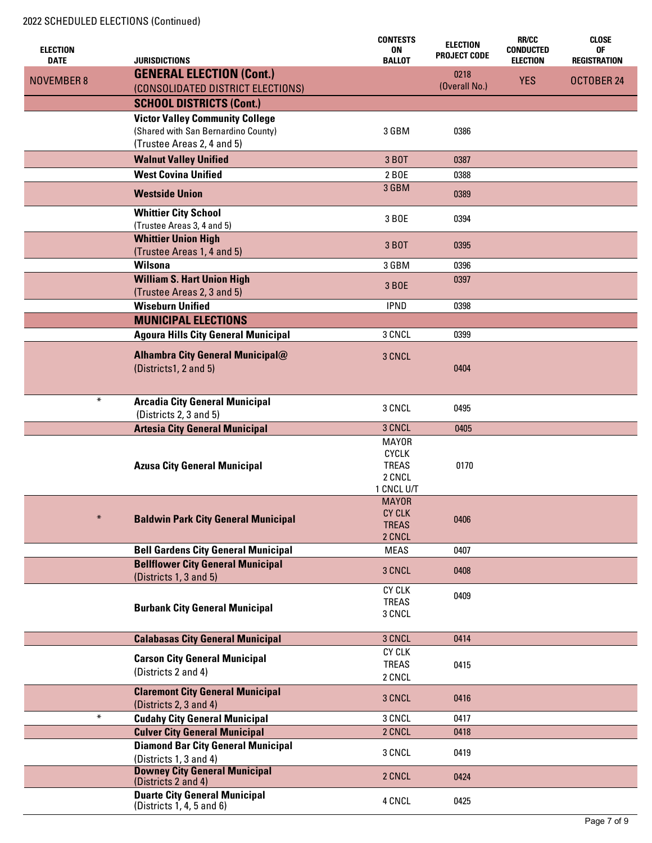|                                |                                                             | <b>CONTESTS</b>        | <b>ELECTION</b>       | <b>RR/CC</b>                        | <b>CLOSE</b>              |
|--------------------------------|-------------------------------------------------------------|------------------------|-----------------------|-------------------------------------|---------------------------|
| <b>ELECTION</b><br><b>DATE</b> | <b>JURISDICTIONS</b>                                        | ON<br><b>BALLOT</b>    | <b>PROJECT CODE</b>   | <b>CONDUCTED</b><br><b>ELECTION</b> | 0F<br><b>REGISTRATION</b> |
|                                |                                                             |                        |                       |                                     |                           |
| <b>NOVEMBER 8</b>              | <b>GENERAL ELECTION (Cont.)</b>                             |                        | 0218<br>(Overall No.) | <b>YES</b>                          | OCTOBER 24                |
|                                | (CONSOLIDATED DISTRICT ELECTIONS)                           |                        |                       |                                     |                           |
|                                | <b>SCHOOL DISTRICTS (Cont.)</b>                             |                        |                       |                                     |                           |
|                                | <b>Victor Valley Community College</b>                      |                        |                       |                                     |                           |
|                                | (Shared with San Bernardino County)                         | 3 GBM                  | 0386                  |                                     |                           |
|                                | (Trustee Areas 2, 4 and 5)                                  |                        |                       |                                     |                           |
|                                | <b>Walnut Valley Unified</b>                                | 3 BOT                  | 0387                  |                                     |                           |
|                                | <b>West Covina Unified</b>                                  | 2 BOE                  | 0388                  |                                     |                           |
|                                |                                                             | 3 GBM                  |                       |                                     |                           |
|                                | <b>Westside Union</b>                                       |                        | 0389                  |                                     |                           |
|                                | <b>Whittier City School</b>                                 |                        |                       |                                     |                           |
|                                | (Trustee Areas 3, 4 and 5)                                  | 3 BOE                  | 0394                  |                                     |                           |
|                                | <b>Whittier Union High</b>                                  |                        |                       |                                     |                           |
|                                | (Trustee Areas 1, 4 and 5)                                  | 3 BOT                  | 0395                  |                                     |                           |
|                                | <b>Wilsona</b>                                              | 3 GBM                  | 0396                  |                                     |                           |
|                                | <b>William S. Hart Union High</b>                           |                        | 0397                  |                                     |                           |
|                                | (Trustee Areas 2, 3 and 5)                                  | 3 BOE                  |                       |                                     |                           |
|                                | <b>Wiseburn Unified</b>                                     | <b>IPND</b>            | 0398                  |                                     |                           |
|                                | <b>MUNICIPAL ELECTIONS</b>                                  |                        |                       |                                     |                           |
|                                | <b>Agoura Hills City General Municipal</b>                  | 3 CNCL                 | 0399                  |                                     |                           |
|                                |                                                             |                        |                       |                                     |                           |
|                                | <b>Alhambra City General Municipal@</b>                     | 3 CNCL                 |                       |                                     |                           |
|                                | (Districts1, 2 and 5)                                       |                        | 0404                  |                                     |                           |
|                                |                                                             |                        |                       |                                     |                           |
| $\ast$                         |                                                             |                        |                       |                                     |                           |
|                                | <b>Arcadia City General Municipal</b>                       | 3 CNCL                 | 0495                  |                                     |                           |
|                                | (Districts 2, 3 and 5)                                      | 3 CNCL                 |                       |                                     |                           |
|                                | <b>Artesia City General Municipal</b>                       | <b>MAYOR</b>           | 0405                  |                                     |                           |
|                                |                                                             | <b>CYCLK</b>           |                       |                                     |                           |
|                                | <b>Azusa City General Municipal</b>                         | <b>TREAS</b>           | 0170                  |                                     |                           |
|                                |                                                             | 2 CNCL                 |                       |                                     |                           |
|                                |                                                             | 1 CNCL U/T             |                       |                                     |                           |
|                                |                                                             | <b>MAYOR</b>           |                       |                                     |                           |
| $\ast$                         |                                                             | <b>CY CLK</b>          |                       |                                     |                           |
|                                | <b>Baldwin Park City General Municipal</b>                  | <b>TREAS</b>           | 0406                  |                                     |                           |
|                                |                                                             | 2 CNCL                 |                       |                                     |                           |
|                                | <b>Bell Gardens City General Municipal</b>                  | <b>MEAS</b>            | 0407                  |                                     |                           |
|                                | <b>Bellflower City General Municipal</b>                    | 3 CNCL                 | 0408                  |                                     |                           |
|                                | (Districts 1, 3 and 5)                                      |                        |                       |                                     |                           |
|                                |                                                             | <b>CY CLK</b>          | 0409                  |                                     |                           |
|                                | <b>Burbank City General Municipal</b>                       | <b>TREAS</b>           |                       |                                     |                           |
|                                |                                                             | 3 CNCL                 |                       |                                     |                           |
|                                |                                                             | 3 CNCL                 |                       |                                     |                           |
|                                | <b>Calabasas City General Municipal</b>                     | <b>CY CLK</b>          | 0414                  |                                     |                           |
|                                | <b>Carson City General Municipal</b>                        |                        |                       |                                     |                           |
|                                | (Districts 2 and 4)                                         | <b>TREAS</b><br>2 CNCL | 0415                  |                                     |                           |
|                                |                                                             |                        |                       |                                     |                           |
|                                | <b>Claremont City General Municipal</b>                     | 3 CNCL                 | 0416                  |                                     |                           |
| $\ast$                         | (Districts 2, 3 and 4)                                      |                        |                       |                                     |                           |
|                                | <b>Cudahy City General Municipal</b>                        | 3 CNCL                 | 0417                  |                                     |                           |
|                                | <b>Culver City General Municipal</b>                        | 2 CNCL                 | 0418                  |                                     |                           |
|                                | <b>Diamond Bar City General Municipal</b>                   | 3 CNCL                 | 0419                  |                                     |                           |
|                                | (Districts 1, 3 and 4)                                      |                        |                       |                                     |                           |
|                                | <b>Downey City General Municipal</b><br>(Districts 2 and 4) | 2 CNCL                 | 0424                  |                                     |                           |
|                                | <b>Duarte City General Municipal</b>                        |                        |                       |                                     |                           |
|                                | (Districts $1, 4, 5$ and $6$ )                              | 4 CNCL                 | 0425                  |                                     |                           |
|                                |                                                             |                        |                       |                                     |                           |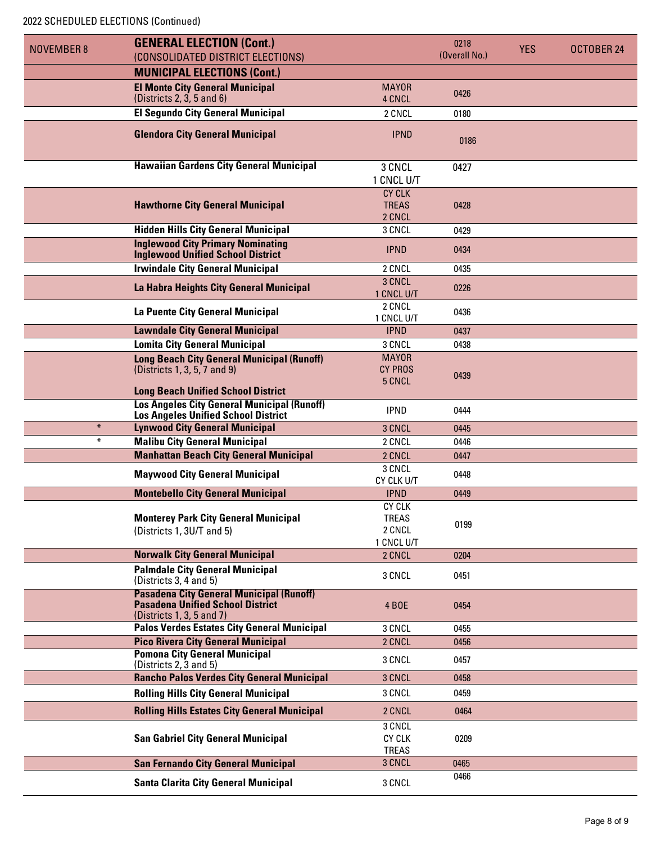### 2022 SCHEDULED ELECTIONS (Continued)

| <b>NOVEMBER 8</b> | <b>GENERAL ELECTION (Cont.)</b>                                                                  |                           | 0218          | <b>YES</b> | OCTOBER 24 |
|-------------------|--------------------------------------------------------------------------------------------------|---------------------------|---------------|------------|------------|
|                   | (CONSOLIDATED DISTRICT ELECTIONS)                                                                |                           | (Overall No.) |            |            |
|                   | <b>MUNICIPAL ELECTIONS (Cont.)</b>                                                               |                           |               |            |            |
|                   | <b>El Monte City General Municipal</b>                                                           | <b>MAYOR</b>              | 0426          |            |            |
|                   | (Distributions 2, 3, 5 and 6)                                                                    | 4 CNCL                    |               |            |            |
|                   | <b>El Segundo City General Municipal</b>                                                         | 2 CNCL                    | 0180          |            |            |
|                   | <b>Glendora City General Municipal</b>                                                           | <b>IPND</b>               | 0186          |            |            |
|                   |                                                                                                  |                           |               |            |            |
|                   | <b>Hawaiian Gardens City General Municipal</b>                                                   | 3 CNCL                    | 0427          |            |            |
|                   |                                                                                                  | 1 CNCL U/T                |               |            |            |
|                   |                                                                                                  | <b>CY CLK</b>             |               |            |            |
|                   | <b>Hawthorne City General Municipal</b>                                                          | <b>TREAS</b>              | 0428          |            |            |
|                   | <b>Hidden Hills City General Municipal</b>                                                       | 2 CNCL<br>3 CNCL          |               |            |            |
|                   | <b>Inglewood City Primary Nominating</b>                                                         |                           | 0429          |            |            |
|                   | <b>Inglewood Unified School District</b>                                                         | <b>IPND</b>               | 0434          |            |            |
|                   | <b>Irwindale City General Municipal</b>                                                          | 2 CNCL                    | 0435          |            |            |
|                   | La Habra Heights City General Municipal                                                          | 3 CNCL                    | 0226          |            |            |
|                   |                                                                                                  | 1 CNCL U/T                |               |            |            |
|                   | La Puente City General Municipal                                                                 | 2 CNCL<br>1 CNCL U/T      | 0436          |            |            |
|                   | <b>Lawndale City General Municipal</b>                                                           | <b>IPND</b>               | 0437          |            |            |
|                   | <b>Lomita City General Municipal</b>                                                             | 3 CNCL                    | 0438          |            |            |
|                   | <b>Long Beach City General Municipal (Runoff)</b>                                                | <b>MAYOR</b>              |               |            |            |
|                   | (Districts 1, 3, 5, 7 and 9)                                                                     | <b>CY PROS</b>            | 0439          |            |            |
|                   |                                                                                                  | 5 CNCL                    |               |            |            |
|                   | <b>Long Beach Unified School District</b>                                                        |                           |               |            |            |
|                   | <b>Los Angeles City General Municipal (Runoff)</b><br><b>Los Angeles Unified School District</b> | <b>IPND</b>               | 0444          |            |            |
| $\ast$            | <b>Lynwood City General Municipal</b>                                                            | 3 CNCL                    | 0445          |            |            |
| $\ast$            | <b>Malibu City General Municipal</b>                                                             | 2 CNCL                    | 0446          |            |            |
|                   | <b>Manhattan Beach City General Municipal</b>                                                    | 2 CNCL                    | 0447          |            |            |
|                   | <b>Maywood City General Municipal</b>                                                            | 3 CNCL                    | 0448          |            |            |
|                   | <b>Montebello City General Municipal</b>                                                         | CY CLK U/T<br><b>IPND</b> | 0449          |            |            |
|                   |                                                                                                  | <b>CY CLK</b>             |               |            |            |
|                   | <b>Monterey Park City General Municipal</b>                                                      | <b>TREAS</b>              |               |            |            |
|                   | (Districts 1, 3U/T and 5)                                                                        | 2 CNCL                    | 0199          |            |            |
|                   |                                                                                                  | 1 CNCL U/T                |               |            |            |
|                   | <b>Norwalk City General Municipal</b>                                                            | 2 CNCL                    | 0204          |            |            |
|                   | <b>Palmdale City General Municipal</b><br>(Districts 3, 4 and 5)                                 | 3 CNCL                    | 0451          |            |            |
|                   | <b>Pasadena City General Municipal (Runoff)</b>                                                  |                           |               |            |            |
|                   | <b>Pasadena Unified School District</b>                                                          | <b>4 BOE</b>              | 0454          |            |            |
|                   | (Districts 1, 3, 5 and 7)                                                                        |                           |               |            |            |
|                   | <b>Palos Verdes Estates City General Municipal</b>                                               | 3 CNCL                    | 0455          |            |            |
|                   | <b>Pico Rivera City General Municipal</b><br><b>Pomona City General Municipal</b>                | 2 CNCL                    | 0456          |            |            |
|                   | (Districts 2, 3 and 5)                                                                           | 3 CNCL                    | 0457          |            |            |
|                   | <b>Rancho Palos Verdes City General Municipal</b>                                                | 3 CNCL                    | 0458          |            |            |
|                   | <b>Rolling Hills City General Municipal</b>                                                      | 3 CNCL                    | 0459          |            |            |
|                   | <b>Rolling Hills Estates City General Municipal</b>                                              | 2 CNCL                    | 0464          |            |            |
|                   |                                                                                                  | 3 CNCL                    |               |            |            |
|                   | <b>San Gabriel City General Municipal</b>                                                        | <b>CY CLK</b>             | 0209          |            |            |
|                   |                                                                                                  | <b>TREAS</b>              |               |            |            |
|                   | <b>San Fernando City General Municipal</b>                                                       | 3 CNCL                    | 0465          |            |            |
|                   | <b>Santa Clarita City General Municipal</b>                                                      | 3 CNCL                    | 0466          |            |            |
|                   |                                                                                                  |                           |               |            |            |